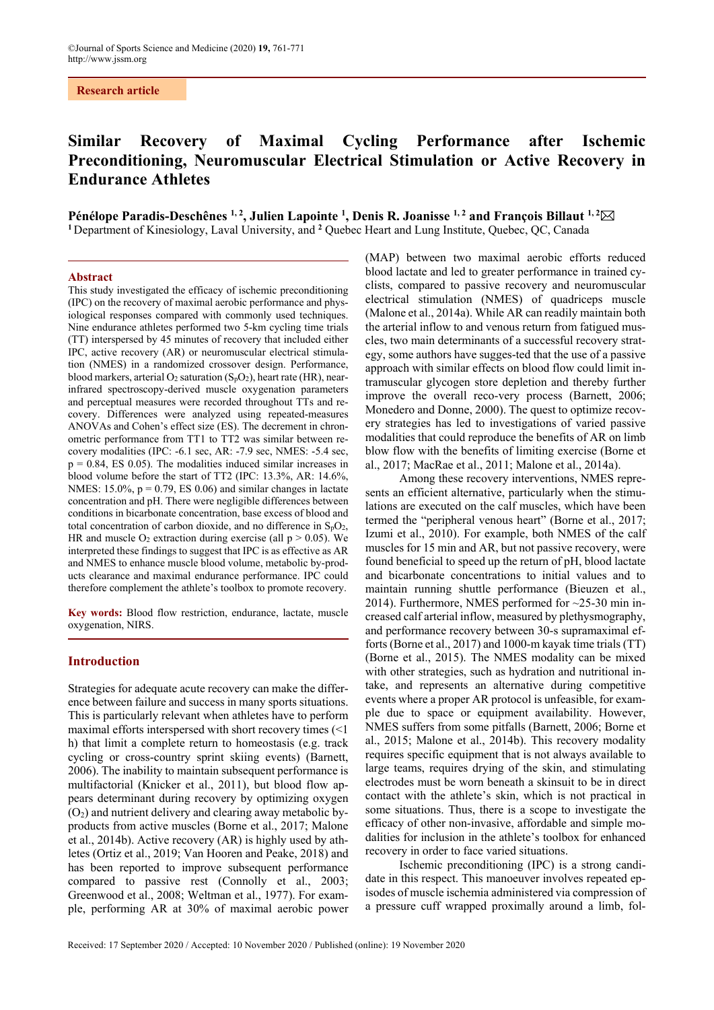**Research article**

# **Similar Recovery of Maximal Cycling Performance after Ischemic Preconditioning, Neuromuscular Electrical Stimulation or Active Recovery in Endurance Athletes**

Pénélope Paradis-Deschênes <sup>1, 2</sup>, Julien Lapointe <sup>1</sup>, Denis R. Joanisse <sup>1, 2</sup> and François Billaut <sup>1, 2</sup>⊠ <sup>1</sup> Department of Kinesiology, Laval University, and <sup>2</sup> Quebec Heart and Lung Institute, Quebec, QC, Canada

#### **Abstract**

This study investigated the efficacy of ischemic preconditioning (IPC) on the recovery of maximal aerobic performance and physiological responses compared with commonly used techniques. Nine endurance athletes performed two 5-km cycling time trials (TT) interspersed by 45 minutes of recovery that included either IPC, active recovery (AR) or neuromuscular electrical stimulation (NMES) in a randomized crossover design. Performance, blood markers, arterial  $O_2$  saturation  $(S_pO_2)$ , heart rate (HR), nearinfrared spectroscopy-derived muscle oxygenation parameters and perceptual measures were recorded throughout TTs and recovery. Differences were analyzed using repeated-measures ANOVAs and Cohen's effect size (ES). The decrement in chronometric performance from TT1 to TT2 was similar between recovery modalities (IPC: -6.1 sec, AR: -7.9 sec, NMES: -5.4 sec,  $p = 0.84$ , ES 0.05). The modalities induced similar increases in blood volume before the start of TT2 (IPC: 13.3%, AR: 14.6%, NMES:  $15.0\%$ ,  $p = 0.79$ , ES 0.06) and similar changes in lactate concentration and pH. There were negligible differences between conditions in bicarbonate concentration, base excess of blood and total concentration of carbon dioxide, and no difference in SpO2, HR and muscle  $O_2$  extraction during exercise (all  $p > 0.05$ ). We interpreted these findings to suggest that IPC is as effective as AR and NMES to enhance muscle blood volume, metabolic by-products clearance and maximal endurance performance. IPC could therefore complement the athlete's toolbox to promote recovery.

**Key words:** Blood flow restriction, endurance, lactate, muscle oxygenation, NIRS.

## **Introduction**

Strategies for adequate acute recovery can make the difference between failure and success in many sports situations. This is particularly relevant when athletes have to perform maximal efforts interspersed with short recovery times (<1 h) that limit a complete return to homeostasis (e.g. track cycling or cross-country sprint skiing events) (Barnett, 2006). The inability to maintain subsequent performance is multifactorial (Knicker et al., 2011), but blood flow appears determinant during recovery by optimizing oxygen  $(O<sub>2</sub>)$  and nutrient delivery and clearing away metabolic byproducts from active muscles (Borne et al., 2017; Malone et al., 2014b). Active recovery (AR) is highly used by athletes (Ortiz et al., 2019; Van Hooren and Peake, 2018) and has been reported to improve subsequent performance compared to passive rest (Connolly et al., 2003; Greenwood et al., 2008; Weltman et al., 1977). For example, performing AR at 30% of maximal aerobic power

(MAP) between two maximal aerobic efforts reduced blood lactate and led to greater performance in trained cyclists, compared to passive recovery and neuromuscular electrical stimulation (NMES) of quadriceps muscle (Malone et al., 2014a). While AR can readily maintain both the arterial inflow to and venous return from fatigued muscles, two main determinants of a successful recovery strategy, some authors have sugges-ted that the use of a passive approach with similar effects on blood flow could limit intramuscular glycogen store depletion and thereby further improve the overall reco-very process (Barnett, 2006; Monedero and Donne, 2000). The quest to optimize recovery strategies has led to investigations of varied passive modalities that could reproduce the benefits of AR on limb blow flow with the benefits of limiting exercise (Borne et al., 2017; MacRae et al., 2011; Malone et al., 2014a).

Among these recovery interventions, NMES represents an efficient alternative, particularly when the stimulations are executed on the calf muscles, which have been termed the "peripheral venous heart" (Borne et al., 2017; Izumi et al., 2010). For example, both NMES of the calf muscles for 15 min and AR, but not passive recovery, were found beneficial to speed up the return of pH, blood lactate and bicarbonate concentrations to initial values and to maintain running shuttle performance (Bieuzen et al., 2014). Furthermore, NMES performed for ~25-30 min increased calf arterial inflow, measured by plethysmography, and performance recovery between 30-s supramaximal efforts (Borne et al., 2017) and 1000-m kayak time trials (TT) (Borne et al., 2015). The NMES modality can be mixed with other strategies, such as hydration and nutritional intake, and represents an alternative during competitive events where a proper AR protocol is unfeasible, for example due to space or equipment availability. However, NMES suffers from some pitfalls (Barnett, 2006; Borne et al., 2015; Malone et al., 2014b). This recovery modality requires specific equipment that is not always available to large teams, requires drying of the skin, and stimulating electrodes must be worn beneath a skinsuit to be in direct contact with the athlete's skin, which is not practical in some situations. Thus, there is a scope to investigate the efficacy of other non-invasive, affordable and simple modalities for inclusion in the athlete's toolbox for enhanced recovery in order to face varied situations.

Ischemic preconditioning (IPC) is a strong candidate in this respect. This manoeuver involves repeated episodes of muscle ischemia administered via compression of a pressure cuff wrapped proximally around a limb, fol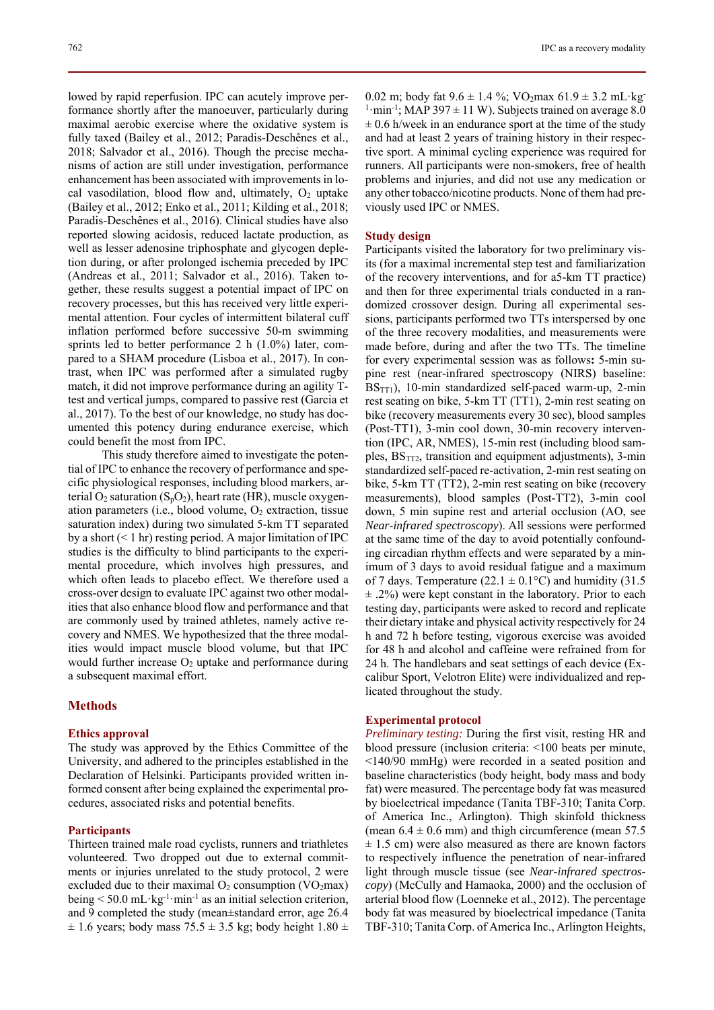lowed by rapid reperfusion. IPC can acutely improve performance shortly after the manoeuver, particularly during maximal aerobic exercise where the oxidative system is fully taxed (Bailey et al., 2012; Paradis-Deschênes et al., 2018; Salvador et al., 2016). Though the precise mechanisms of action are still under investigation, performance enhancement has been associated with improvements in local vasodilation, blood flow and, ultimately,  $O_2$  uptake (Bailey et al., 2012; Enko et al., 2011; Kilding et al., 2018; Paradis-Deschênes et al., 2016). Clinical studies have also reported slowing acidosis, reduced lactate production, as well as lesser adenosine triphosphate and glycogen depletion during, or after prolonged ischemia preceded by IPC (Andreas et al., 2011; Salvador et al., 2016). Taken together, these results suggest a potential impact of IPC on recovery processes, but this has received very little experimental attention. Four cycles of intermittent bilateral cuff inflation performed before successive 50-m swimming sprints led to better performance 2 h (1.0%) later, compared to a SHAM procedure (Lisboa et al., 2017). In contrast, when IPC was performed after a simulated rugby match, it did not improve performance during an agility Ttest and vertical jumps, compared to passive rest (Garcia et

could benefit the most from IPC. This study therefore aimed to investigate the potential of IPC to enhance the recovery of performance and specific physiological responses, including blood markers, arterial  $O_2$  saturation  $(S_pO_2)$ , heart rate (HR), muscle oxygenation parameters (i.e., blood volume,  $O<sub>2</sub>$  extraction, tissue saturation index) during two simulated 5-km TT separated by a short  $(< 1 \text{ hr})$  resting period. A major limitation of IPC studies is the difficulty to blind participants to the experimental procedure, which involves high pressures, and which often leads to placebo effect. We therefore used a cross-over design to evaluate IPC against two other modalities that also enhance blood flow and performance and that are commonly used by trained athletes, namely active recovery and NMES. We hypothesized that the three modalities would impact muscle blood volume, but that IPC would further increase  $O_2$  uptake and performance during a subsequent maximal effort.

al., 2017). To the best of our knowledge, no study has documented this potency during endurance exercise, which

## **Methods**

#### **Ethics approval**

The study was approved by the Ethics Committee of the University, and adhered to the principles established in the Declaration of Helsinki. Participants provided written informed consent after being explained the experimental procedures, associated risks and potential benefits.

## **Participants**

Thirteen trained male road cyclists, runners and triathletes volunteered. Two dropped out due to external commitments or injuries unrelated to the study protocol, 2 were excluded due to their maximal  $O_2$  consumption (VO<sub>2</sub>max) being  $\leq 50.0$  mL·kg<sup>-1</sup>·min<sup>-1</sup> as an initial selection criterion, and 9 completed the study (mean±standard error, age 26.4  $\pm$  1.6 years; body mass 75.5  $\pm$  3.5 kg; body height 1.80  $\pm$  0.02 m; body fat  $9.6 \pm 1.4$  %; VO<sub>2</sub>max  $61.9 \pm 3.2$  mL·kg <sup>1</sup>·min<sup>-1</sup>; MAP 397  $\pm$  11 W). Subjects trained on average 8.0  $\pm$  0.6 h/week in an endurance sport at the time of the study and had at least 2 years of training history in their respective sport. A minimal cycling experience was required for runners. All participants were non-smokers, free of health problems and injuries, and did not use any medication or any other tobacco/nicotine products. None of them had previously used IPC or NMES.

#### **Study design**

Participants visited the laboratory for two preliminary visits (for a maximal incremental step test and familiarization of the recovery interventions, and for a5-km TT practice) and then for three experimental trials conducted in a randomized crossover design. During all experimental sessions, participants performed two TTs interspersed by one of the three recovery modalities, and measurements were made before, during and after the two TTs. The timeline for every experimental session was as follows**:** 5-min supine rest (near-infrared spectroscopy (NIRS) baseline: BSTT1), 10-min standardized self-paced warm-up, 2-min rest seating on bike, 5-km TT (TT1), 2-min rest seating on bike (recovery measurements every 30 sec), blood samples (Post-TT1), 3-min cool down, 30-min recovery intervention (IPC, AR, NMES), 15-min rest (including blood samples,  $BS<sub>TT2</sub>$ , transition and equipment adjustments), 3-min standardized self-paced re-activation, 2-min rest seating on bike, 5-km TT (TT2), 2-min rest seating on bike (recovery measurements), blood samples (Post-TT2), 3-min cool down, 5 min supine rest and arterial occlusion (AO, see *Near-infrared spectroscopy*). All sessions were performed at the same time of the day to avoid potentially confounding circadian rhythm effects and were separated by a minimum of 3 days to avoid residual fatigue and a maximum of 7 days. Temperature (22.1  $\pm$  0.1°C) and humidity (31.5  $\pm$  .2%) were kept constant in the laboratory. Prior to each testing day, participants were asked to record and replicate their dietary intake and physical activity respectively for 24 h and 72 h before testing, vigorous exercise was avoided for 48 h and alcohol and caffeine were refrained from for 24 h. The handlebars and seat settings of each device (Excalibur Sport, Velotron Elite) were individualized and replicated throughout the study.

#### **Experimental protocol**

*Preliminary testing:* During the first visit, resting HR and blood pressure (inclusion criteria: <100 beats per minute, <140/90 mmHg) were recorded in a seated position and baseline characteristics (body height, body mass and body fat) were measured. The percentage body fat was measured by bioelectrical impedance (Tanita TBF-310; Tanita Corp. of America Inc., Arlington). Thigh skinfold thickness (mean  $6.4 \pm 0.6$  mm) and thigh circumference (mean 57.5)  $\pm$  1.5 cm) were also measured as there are known factors to respectively influence the penetration of near-infrared light through muscle tissue (see *Near-infrared spectroscopy*) (McCully and Hamaoka, 2000) and the occlusion of arterial blood flow (Loenneke et al., 2012). The percentage body fat was measured by bioelectrical impedance (Tanita TBF-310; Tanita Corp. of America Inc., Arlington Heights,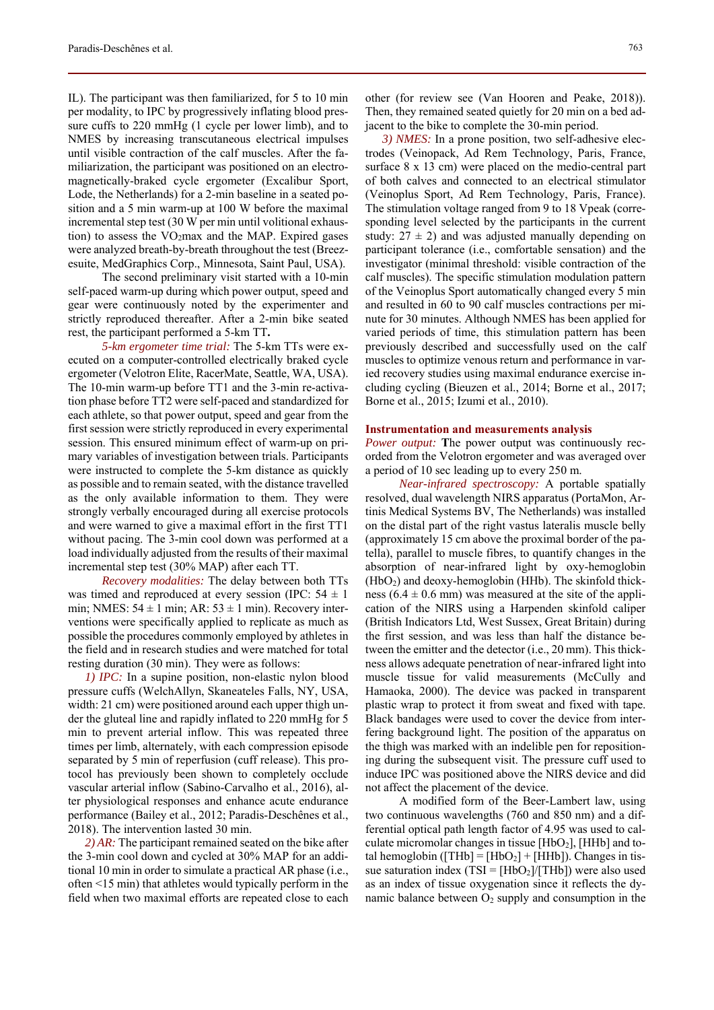IL). The participant was then familiarized, for 5 to 10 min per modality, to IPC by progressively inflating blood pressure cuffs to 220 mmHg (1 cycle per lower limb), and to NMES by increasing transcutaneous electrical impulses until visible contraction of the calf muscles. After the familiarization, the participant was positioned on an electromagnetically-braked cycle ergometer (Excalibur Sport, Lode, the Netherlands) for a 2-min baseline in a seated position and a 5 min warm-up at 100 W before the maximal incremental step test (30 W per min until volitional exhaustion) to assess the  $VO<sub>2</sub>max$  and the MAP. Expired gases were analyzed breath-by-breath throughout the test (Breezesuite, MedGraphics Corp., Minnesota, Saint Paul, USA).

The second preliminary visit started with a 10-min self-paced warm-up during which power output, speed and gear were continuously noted by the experimenter and strictly reproduced thereafter. After a 2-min bike seated rest, the participant performed a 5-km TT**.** 

*5-km ergometer time trial:* The 5-km TTs were executed on a computer-controlled electrically braked cycle ergometer (Velotron Elite, RacerMate, Seattle, WA, USA). The 10-min warm-up before TT1 and the 3-min re-activation phase before TT2 were self-paced and standardized for each athlete, so that power output, speed and gear from the first session were strictly reproduced in every experimental session. This ensured minimum effect of warm-up on primary variables of investigation between trials. Participants were instructed to complete the 5-km distance as quickly as possible and to remain seated, with the distance travelled as the only available information to them. They were strongly verbally encouraged during all exercise protocols and were warned to give a maximal effort in the first TT1 without pacing. The 3-min cool down was performed at a load individually adjusted from the results of their maximal incremental step test (30% MAP) after each TT.

*Recovery modalities:* The delay between both TTs was timed and reproduced at every session (IPC:  $54 \pm 1$ min; NMES:  $54 \pm 1$  min; AR:  $53 \pm 1$  min). Recovery interventions were specifically applied to replicate as much as possible the procedures commonly employed by athletes in the field and in research studies and were matched for total resting duration (30 min). They were as follows:

*1) IPC:* In a supine position, non-elastic nylon blood pressure cuffs (WelchAllyn, Skaneateles Falls, NY, USA, width: 21 cm) were positioned around each upper thigh under the gluteal line and rapidly inflated to 220 mmHg for 5 min to prevent arterial inflow. This was repeated three times per limb, alternately, with each compression episode separated by 5 min of reperfusion (cuff release). This protocol has previously been shown to completely occlude vascular arterial inflow (Sabino-Carvalho et al., 2016), alter physiological responses and enhance acute endurance performance (Bailey et al., 2012; Paradis-Deschênes et al., 2018). The intervention lasted 30 min.

*2) AR:* The participant remained seated on the bike after the 3-min cool down and cycled at 30% MAP for an additional 10 min in order to simulate a practical AR phase (i.e., often <15 min) that athletes would typically perform in the field when two maximal efforts are repeated close to each

other (for review see (Van Hooren and Peake, 2018)). Then, they remained seated quietly for 20 min on a bed adjacent to the bike to complete the 30-min period.

*3) NMES:* In a prone position, two self-adhesive electrodes (Veinopack, Ad Rem Technology, Paris, France, surface 8 x 13 cm) were placed on the medio-central part of both calves and connected to an electrical stimulator (Veinoplus Sport, Ad Rem Technology, Paris, France). The stimulation voltage ranged from 9 to 18 Vpeak (corresponding level selected by the participants in the current study:  $27 \pm 2$ ) and was adjusted manually depending on participant tolerance (i.e., comfortable sensation) and the investigator (minimal threshold: visible contraction of the calf muscles). The specific stimulation modulation pattern of the Veinoplus Sport automatically changed every 5 min and resulted in 60 to 90 calf muscles contractions per minute for 30 minutes. Although NMES has been applied for varied periods of time, this stimulation pattern has been previously described and successfully used on the calf muscles to optimize venous return and performance in varied recovery studies using maximal endurance exercise including cycling (Bieuzen et al., 2014; Borne et al., 2017; Borne et al., 2015; Izumi et al., 2010).

#### **Instrumentation and measurements analysis**

*Power output:* **T**he power output was continuously recorded from the Velotron ergometer and was averaged over a period of 10 sec leading up to every 250 m.

*Near-infrared spectroscopy:* A portable spatially resolved, dual wavelength NIRS apparatus (PortaMon, Artinis Medical Systems BV, The Netherlands) was installed on the distal part of the right vastus lateralis muscle belly (approximately 15 cm above the proximal border of the patella), parallel to muscle fibres, to quantify changes in the absorption of near-infrared light by oxy-hemoglobin  $(HbO<sub>2</sub>)$  and deoxy-hemoglobin (HHb). The skinfold thickness ( $6.4 \pm 0.6$  mm) was measured at the site of the application of the NIRS using a Harpenden skinfold caliper (British Indicators Ltd, West Sussex, Great Britain) during the first session, and was less than half the distance between the emitter and the detector (i.e., 20 mm). This thickness allows adequate penetration of near-infrared light into muscle tissue for valid measurements (McCully and Hamaoka, 2000). The device was packed in transparent plastic wrap to protect it from sweat and fixed with tape. Black bandages were used to cover the device from interfering background light. The position of the apparatus on the thigh was marked with an indelible pen for repositioning during the subsequent visit. The pressure cuff used to induce IPC was positioned above the NIRS device and did not affect the placement of the device.

A modified form of the Beer-Lambert law, using two continuous wavelengths (760 and 850 nm) and a differential optical path length factor of 4.95 was used to calculate micromolar changes in tissue  $[HbO<sub>2</sub>], [HHb]$  and total hemoglobin ([THb] =  $[HbO<sub>2</sub>] + [HHb]$ ). Changes in tissue saturation index  $(TSI = [HbO<sub>2</sub>]/[THb])$  were also used as an index of tissue oxygenation since it reflects the dynamic balance between  $O_2$  supply and consumption in the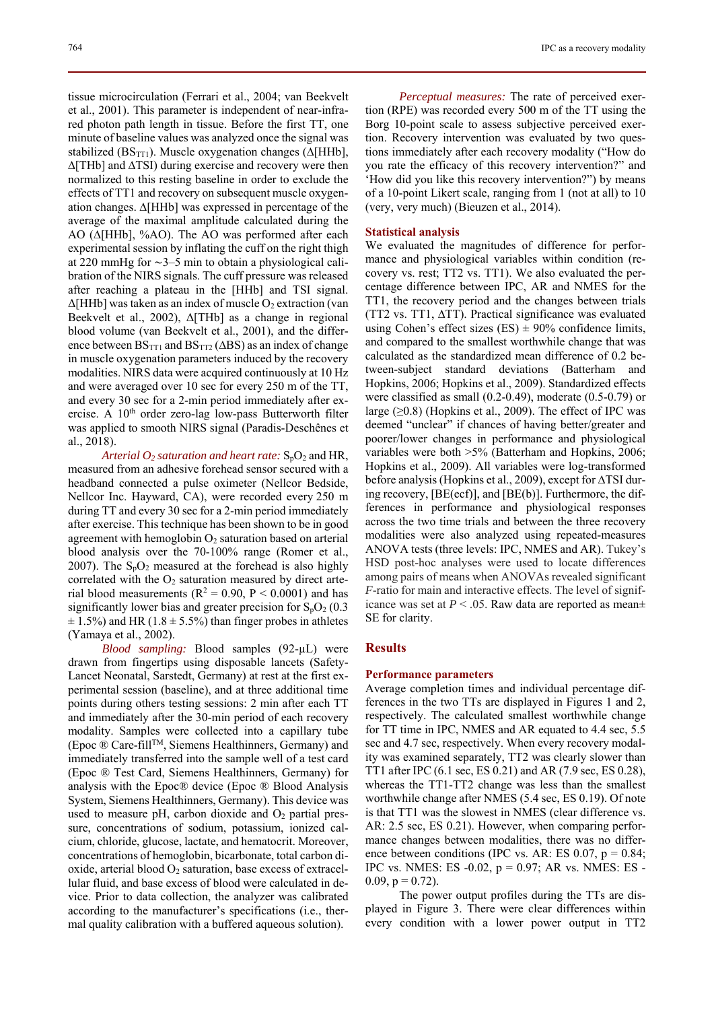tissue microcirculation (Ferrari et al., 2004; van Beekvelt et al., 2001). This parameter is independent of near-infrared photon path length in tissue. Before the first TT, one minute of baseline values was analyzed once the signal was stabilized (BS<sub>TT1</sub>). Muscle oxygenation changes ( $\Delta$ [HHb], ∆[THb] and ∆TSI) during exercise and recovery were then normalized to this resting baseline in order to exclude the effects of TT1 and recovery on subsequent muscle oxygenation changes. ∆[HHb] was expressed in percentage of the average of the maximal amplitude calculated during the AO (∆[HHb], %AO). The AO was performed after each experimental session by inflating the cuff on the right thigh at 220 mmHg for ∼3–5 min to obtain a physiological calibration of the NIRS signals. The cuff pressure was released after reaching a plateau in the [HHb] and TSI signal.  $\Delta$ [HHb] was taken as an index of muscle O<sub>2</sub> extraction (van Beekvelt et al., 2002), Δ[THb] as a change in regional blood volume (van Beekvelt et al., 2001), and the difference between  $BS_{TT1}$  and  $BS_{TT2}$  ( $\triangle BS$ ) as an index of change in muscle oxygenation parameters induced by the recovery modalities. NIRS data were acquired continuously at 10 Hz and were averaged over 10 sec for every 250 m of the TT, and every 30 sec for a 2-min period immediately after exercise. A  $10<sup>th</sup>$  order zero-lag low-pass Butterworth filter was applied to smooth NIRS signal (Paradis-Deschênes et al., 2018).

*Arterial*  $O_2$  *saturation and heart rate:*  $S_pO_2$  and HR, measured from an adhesive forehead sensor secured with a headband connected a pulse oximeter (Nellcor Bedside, Nellcor Inc. Hayward, CA), were recorded every 250 m during TT and every 30 sec for a 2-min period immediately after exercise. This technique has been shown to be in good agreement with hemoglobin  $O_2$  saturation based on arterial blood analysis over the 70-100% range (Romer et al., 2007). The  $S_pO_2$  measured at the forehead is also highly correlated with the  $O<sub>2</sub>$  saturation measured by direct arterial blood measurements ( $R^2 = 0.90$ ,  $P < 0.0001$ ) and has significantly lower bias and greater precision for  $S_pO_2$  (0.3)  $\pm$  1.5%) and HR (1.8  $\pm$  5.5%) than finger probes in athletes (Yamaya et al., 2002).

*Blood sampling:* Blood samples (92-µL) were drawn from fingertips using disposable lancets (Safety-Lancet Neonatal, Sarstedt, Germany) at rest at the first experimental session (baseline), and at three additional time points during others testing sessions: 2 min after each TT and immediately after the 30-min period of each recovery modality. Samples were collected into a capillary tube (Epoc ® Care-fillTM, Siemens Healthinners, Germany) and immediately transferred into the sample well of a test card (Epoc ® Test Card, Siemens Healthinners, Germany) for analysis with the Epoc® device (Epoc ® Blood Analysis System, Siemens Healthinners, Germany). This device was used to measure pH, carbon dioxide and  $O<sub>2</sub>$  partial pressure, concentrations of sodium, potassium, ionized calcium, chloride, glucose, lactate, and hematocrit. Moreover, concentrations of hemoglobin, bicarbonate, total carbon dioxide, arterial blood  $O_2$  saturation, base excess of extracellular fluid, and base excess of blood were calculated in device. Prior to data collection, the analyzer was calibrated according to the manufacturer's specifications (i.e., thermal quality calibration with a buffered aqueous solution).

*Perceptual measures:* The rate of perceived exertion (RPE) was recorded every 500 m of the TT using the Borg 10-point scale to assess subjective perceived exertion. Recovery intervention was evaluated by two questions immediately after each recovery modality ("How do you rate the efficacy of this recovery intervention?" and 'How did you like this recovery intervention?") by means of a 10-point Likert scale, ranging from 1 (not at all) to 10 (very, very much) (Bieuzen et al., 2014).

## **Statistical analysis**

We evaluated the magnitudes of difference for performance and physiological variables within condition (recovery vs. rest; TT2 vs. TT1). We also evaluated the percentage difference between IPC, AR and NMES for the TT1, the recovery period and the changes between trials (TT2 vs. TT1, ∆TT). Practical significance was evaluated using Cohen's effect sizes  $(ES) \pm 90\%$  confidence limits, and compared to the smallest worthwhile change that was calculated as the standardized mean difference of 0.2 between-subject standard deviations (Batterham and Hopkins, 2006; Hopkins et al., 2009). Standardized effects were classified as small (0.2-0.49), moderate (0.5-0.79) or large  $(≥0.8)$  (Hopkins et al., 2009). The effect of IPC was deemed "unclear" if chances of having better/greater and poorer/lower changes in performance and physiological variables were both >5% (Batterham and Hopkins, 2006; Hopkins et al., 2009). All variables were log-transformed before analysis (Hopkins et al., 2009), except for ∆TSI during recovery, [BE(ecf)], and [BE(b)]. Furthermore, the differences in performance and physiological responses across the two time trials and between the three recovery modalities were also analyzed using repeated-measures ANOVA tests (three levels: IPC, NMES and AR). Tukey's HSD post-hoc analyses were used to locate differences among pairs of means when ANOVAs revealed significant *F*-ratio for main and interactive effects. The level of significance was set at  $P < .05$ . Raw data are reported as mean $\pm$ SE for clarity.

## **Results**

## **Performance parameters**

Average completion times and individual percentage differences in the two TTs are displayed in Figures 1 and 2, respectively. The calculated smallest worthwhile change for TT time in IPC, NMES and AR equated to 4.4 sec, 5.5 sec and 4.7 sec, respectively. When every recovery modality was examined separately, TT2 was clearly slower than TT1 after IPC (6.1 sec, ES 0.21) and AR (7.9 sec, ES 0.28), whereas the TT1-TT2 change was less than the smallest worthwhile change after NMES (5.4 sec, ES 0.19). Of note is that TT1 was the slowest in NMES (clear difference vs. AR: 2.5 sec, ES 0.21). However, when comparing performance changes between modalities, there was no difference between conditions (IPC vs. AR: ES  $0.07$ ,  $p = 0.84$ ; IPC vs. NMES: ES -0.02, p = 0.97; AR vs. NMES: ES -  $0.09$ ,  $p = 0.72$ ).

The power output profiles during the TTs are displayed in Figure 3. There were clear differences within every condition with a lower power output in TT2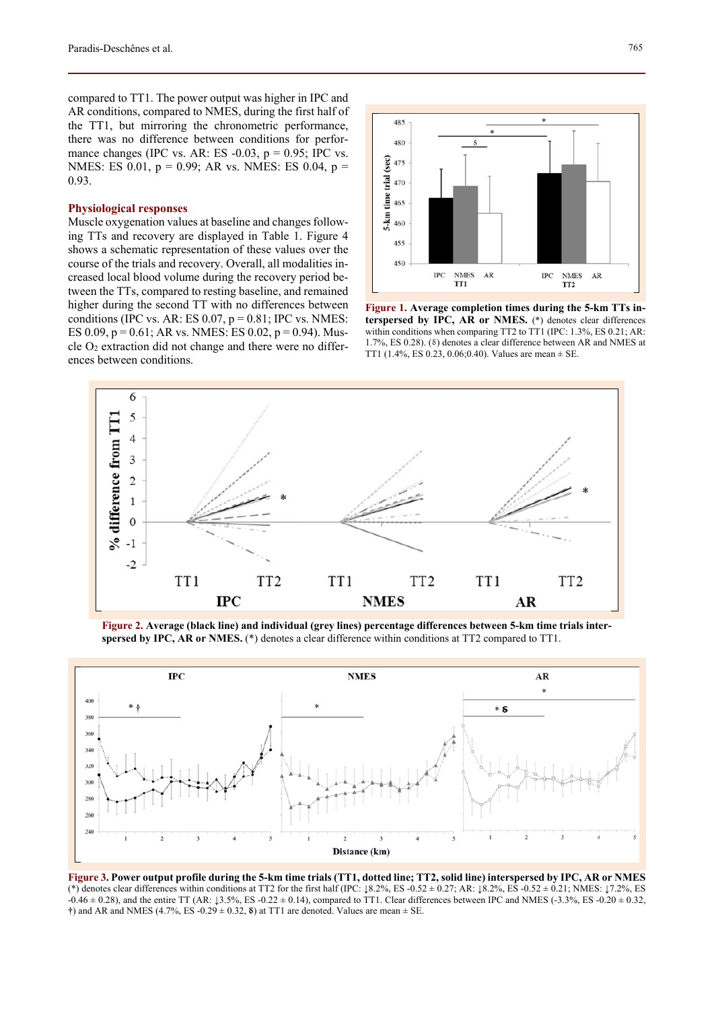compared to TT1. The power output was higher in IPC and AR conditions, compared to NMES, during the first half of the TT1, but mirroring the chronometric performance, there was no difference between conditions for performance changes (IPC vs. AR: ES  $-0.03$ ,  $p = 0.95$ ; IPC vs. NMES: ES 0.01, p = 0.99; AR vs. NMES: ES 0.04, p = 0.93.

## **Physiological responses**

Muscle oxygenation values at baseline and changes following TTs and recovery are displayed in Table 1. Figure 4 shows a schematic representation of these values over the course of the trials and recovery. Overall, all modalities increased local blood volume during the recovery period between the TTs, compared to resting baseline, and remained higher during the second TT with no differences between conditions (IPC vs. AR: ES  $0.07$ ,  $p = 0.81$ ; IPC vs. NMES: ES 0.09,  $p = 0.61$ ; AR vs. NMES: ES 0.02,  $p = 0.94$ ). Muscle  $O_2$  extraction did not change and there were no differences between conditions.



**Figure 1. Average completion times during the 5-km TTs interspersed by IPC, AR or NMES.** (\*) denotes clear differences within conditions when comparing TT2 to TT1 (IPC: 1.3%, ES 0.21; AR: 1.7%, ES 0.28). (8) denotes a clear difference between AR and NMES at TT1 (1.4%, ES 0.23, 0.06; 0.40). Values are mean  $\pm$  SE.



**Figure 2. Average (black line) and individual (grey lines) percentage differences between 5-km time trials interspersed by IPC, AR or NMES.** (\*) denotes a clear difference within conditions at TT2 compared to TT1.



**Figure 3. Power output profile during the 5-km time trials (TT1, dotted line; TT2, solid line) interspersed by IPC, AR or NMES**  (\*) denotes clear differences within conditions at TT2 for the first half (IPC:  $\pm 8.2\%$ , ES  $-0.52 \pm 0.27$ ; AR:  $\pm 8.2\%$ , ES  $-0.52 \pm 0.21$ ; NMES:  $\pm 7.2\%$ , ES  $-0.46 \pm 0.28$ ), and the entire TT (AR:  $\downarrow$ 3.5%, ES -0.22  $\pm$  0.14), compared to TT1. Clear differences between IPC and NMES (-3.3%, ES -0.20  $\pm$  0.32,  $\dagger$ ) and AR and NMES (4.7%, ES -0.29  $\pm$  0.32, **8**) at TT1 are denoted. Values are mean  $\pm$  SE.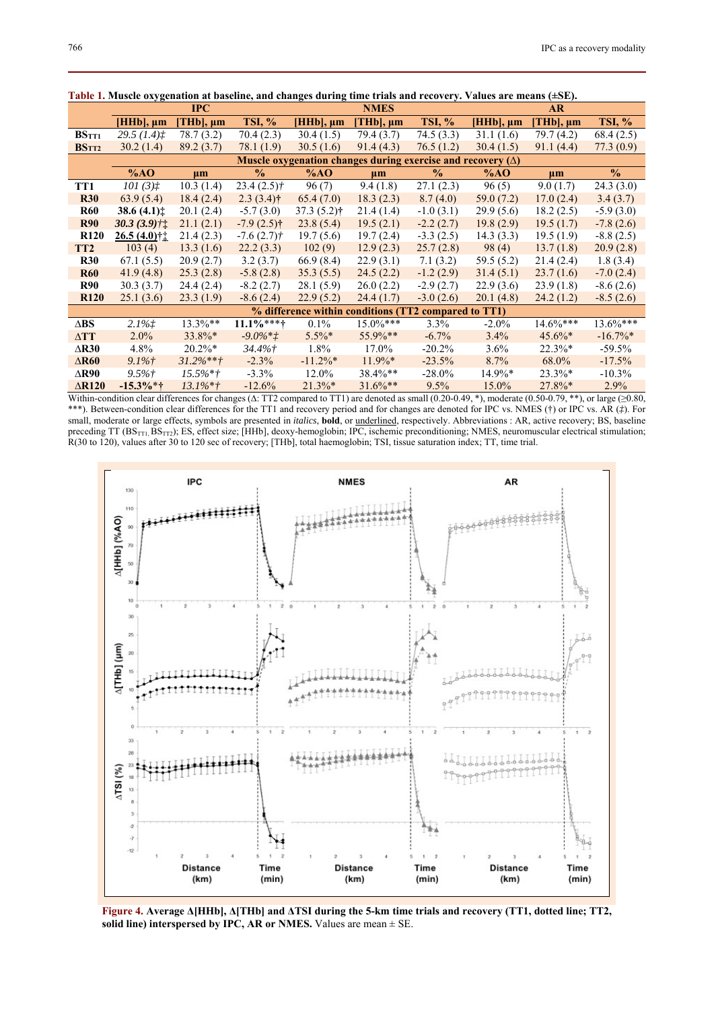|                   | ably 1. Frasche oxygenation at buseline, and enanges during this trials and recovery. Values are incums (= $5\mu$ )<br>$_{\rm IPC}$ |                |                         | <b>NMES</b>    |                   |                | <b>AR</b>      |                   |                        |
|-------------------|-------------------------------------------------------------------------------------------------------------------------------------|----------------|-------------------------|----------------|-------------------|----------------|----------------|-------------------|------------------------|
|                   | $[HHb], \mu m$                                                                                                                      | $[THb], \mu m$ | <b>TSI, %</b>           | $[HHb], \mu m$ | $[THb]$ , $\mu$ m | <b>TSI, %</b>  | $[HHb], \mu m$ | $[THb]$ , $\mu$ m | <b>TSI, %</b>          |
| BSTT1             | 29.5 (1.4) <sup>†</sup>                                                                                                             | 78.7 (3.2)     | 70.4 (2.3)              | 30.4(1.5)      | 79.4 (3.7)        | 74.5 (3.3)     | 31.1(1.6)      | 79.7 (4.2)        | 68.4(2.5)              |
| BS <sub>TT2</sub> | 30.2(1.4)                                                                                                                           | 89.2(3.7)      | 78.1 (1.9)              | 30.5(1.6)      | 91.4(4.3)         | 76.5(1.2)      | 30.4(1.5)      | 91.1(4.4)         | 77.3(0.9)              |
|                   | Muscle oxygenation changes during exercise and recovery $(\Delta)$                                                                  |                |                         |                |                   |                |                |                   |                        |
|                   | %AO                                                                                                                                 | $\mu$ m        | $\frac{0}{0}$           | %AO            | $\mu$ m           | $\frac{6}{10}$ | %AO            | $\mu$ m           | $\frac{0}{0}$          |
| TT1               | 101(3) <sup>†</sup>                                                                                                                 | 10.3(1.4)      | $23.4(2.5)$ †           | 96(7)          | 9.4(1.8)          | 27.1(2.3)      | 96(5)          | 9.0(1.7)          | 24.3(3.0)              |
| <b>R30</b>        | 63.9(5.4)                                                                                                                           | 18.4(2.4)      | $2.3(3.4)$ †            | 65.4(7.0)      | 18.3(2.3)         | 8.7(4.0)       | 59.0(7.2)      | 17.0(2.4)         | 3.4(3.7)               |
| <b>R60</b>        | 38.6 $(4.1)$ ±                                                                                                                      | 20.1(2.4)      | $-5.7(3.0)$             | $37.3(5.2)$ †  | 21.4(1.4)         | $-1.0(3.1)$    | 29.9(5.6)      | 18.2(2.5)         | $-5.9(3.0)$            |
| <b>R90</b>        | $30.3(3.9)$ ††                                                                                                                      | 21.1(2.1)      | $-7.9(2.5)$ †           | 23.8(5.4)      | 19.5(2.1)         | $-2.2(2.7)$    | 19.8(2.9)      | 19.5(1.7)         | $-7.8(2.6)$            |
| <b>R120</b>       | $26.5(4.0)$ † $\downarrow$                                                                                                          | 21.4(2.3)      | $-7.6(2.7)\dagger$      | 19.7(5.6)      | 19.7(2.4)         | $-3.3(2.5)$    | 14.3(3.3)      | 19.5(1.9)         | $-8.8(2.5)$            |
| TT <sub>2</sub>   | 103(4)                                                                                                                              | 13.3(1.6)      | 22.2(3.3)               | 102(9)         | 12.9(2.3)         | 25.7(2.8)      | 98(4)          | 13.7(1.8)         | 20.9(2.8)              |
| <b>R30</b>        | 67.1(5.5)                                                                                                                           | 20.9(2.7)      | 3.2(3.7)                | 66.9(8.4)      | 22.9(3.1)         | 7.1(3.2)       | 59.5 (5.2)     | 21.4(2.4)         | 1.8(3.4)               |
| <b>R60</b>        | 41.9(4.8)                                                                                                                           | 25.3(2.8)      | $-5.8(2.8)$             | 35.3(5.5)      | 24.5(2.2)         | $-1.2(2.9)$    | 31.4(5.1)      | 23.7(1.6)         | $-7.0(2.4)$            |
| <b>R90</b>        | 30.3(3.7)                                                                                                                           | 24.4(2.4)      | $-8.2(2.7)$             | 28.1(5.9)      | 26.0(2.2)         | $-2.9(2.7)$    | 22.9(3.6)      | 23.9(1.8)         | $-8.6(2.6)$            |
| <b>R120</b>       | 25.1(3.6)                                                                                                                           | 23.3(1.9)      | $-8.6(2.4)$             | 22.9(5.2)      | 24.4(1.7)         | $-3.0(2.6)$    | 20.1(4.8)      | 24.2(1.2)         | $-8.5(2.6)$            |
|                   | % difference within conditions (TT2 compared to TT1)                                                                                |                |                         |                |                   |                |                |                   |                        |
| $\Delta$ BS       | $2.1\%$                                                                                                                             | $13.3\%**$     | $11.1\%***$             | $0.1\%$        | $15.0\%***$       | 3.3%           | $-2.0\%$       | $14.6\%***$       | $13.6\%***$            |
| $\Delta TT$       | $2.0\%$                                                                                                                             | $33.8\%*$      | $-9.0\%$ * $\dot{\tau}$ | $5.5\%$ *      | 55.9%**           | $-6.7\%$       | $3.4\%$        | $45.6\%*$         | $-16.7\%$ <sup>*</sup> |
| $\triangle$ R30   | 4.8%                                                                                                                                | $20.2\%*$      | $34.4\%$ †              | $1.8\%$        | 17.0%             | $-20.2%$       | $3.6\%$        | $22.3\%*$         | $-59.5%$               |
| $\triangle$ R60   | $9.1\%$ †                                                                                                                           | $31.2\%**+$    | $-2.3\%$                | $-11.2\%*$     | $11.9\%*$         | $-23.5%$       | 8.7%           | 68.0%             | $-17.5%$               |
| $\triangle$ R90   | $9.5\%$ †                                                                                                                           | $15.5\%$ *†    | $-3.3\%$                | 12.0%          | 38.4%**           | $-28.0\%$      | 14.9%*         | $23.3\%*$         | $-10.3\%$              |
| $\triangle$ R120  | $-15.3\%*+$                                                                                                                         | $13.1\%$ *†    | $-12.6%$                | $21.3\%*$      | $31.6\%**$        | 9.5%           | 15.0%          | $27.8\%*$         | 2.9%                   |

**Table 1. Muscle oxygenation at baseline, and changes during time trials and recovery. Values are means (±SE).**

Within-condition clear differences for changes ( $\triangle$ : TT2 compared to TT1) are denoted as small (0.20-0.49, \*), moderate (0.50-0.79, \*\*), or large ( $\geq 0.80$ , \*\*\*). Between-condition clear differences for the TT1 and recovery period and for changes are denoted for IPC vs. NMES (†) or IPC vs. AR (*‡*). For small, moderate or large effects, symbols are presented in *italics*, **bold**, or underlined, respectively. Abbreviations : AR, active recovery; BS, baseline preceding TT  $(BS_{TT}BS_{TT2})$ ; ES, effect size; [HHb], deoxy-hemoglobin; IPC, ischemic preconditioning; NMES, neuromuscular electrical stimulation; R(30 to 120), values after 30 to 120 sec of recovery; [THb], total haemoglobin; TSI, tissue saturation index; TT, time trial.



**Figure 4. Average Δ[HHb], Δ[THb] and ΔTSI during the 5-km time trials and recovery (TT1, dotted line; TT2, solid line) interspersed by IPC, AR or NMES.** Values are mean ± SE.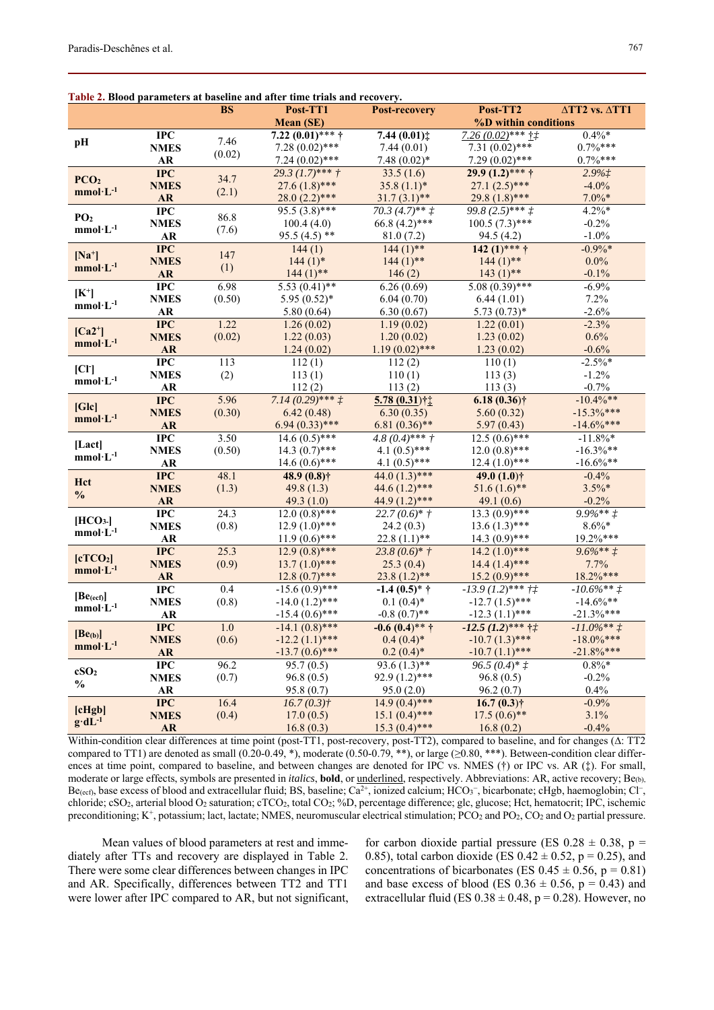|                                      |                         |           | Table 2. Blood parameters at baseline and after time trials and recovery. |                            |                                  |                                     |
|--------------------------------------|-------------------------|-----------|---------------------------------------------------------------------------|----------------------------|----------------------------------|-------------------------------------|
|                                      |                         | <b>BS</b> | Post-TT1                                                                  | Post-recovery              | Post-TT2                         | $\triangle TT2$ vs. $\triangle TT1$ |
|                                      |                         |           | <b>Mean (SE)</b>                                                          |                            | %D within conditions             |                                     |
| pH                                   | $\bf IPC$               | 7.46      | $7.22(0.01)$ *** †                                                        | 7.44 $(0.01)$ ‡            | $7.26(0.02)$ *** † $\ddagger$    | $0.4\%*$                            |
|                                      | <b>NMES</b>             | (0.02)    | $7.28(0.02)$ ***                                                          | 7.44(0.01)                 | $7.31(0.02)$ ***                 | $0.7\%***$                          |
|                                      | ${\bf AR}$              |           | $7.24(0.02)$ ***                                                          | $7.48(0.02)*$              | 7.29 $(0.02)$ ***                | $0.7\%***$                          |
| PCO <sub>2</sub>                     | <b>IPC</b>              | 34.7      | $29.3 (1.7)$ *** †                                                        | 33.5(1.6)                  | $29.9(1.2)$ *** †                | 2.9%                                |
| $mmol·L-1$                           | <b>NMES</b>             | (2.1)     | $27.6(1.8)$ ***                                                           | $35.8(1.1)$ *              | $27.1(2.5)$ ***                  | $-4.0%$                             |
|                                      | <b>AR</b>               |           | $28.0(2.2)$ ***                                                           | $31.7(3.1)$ **             | $29.8(1.8)$ ***                  | $7.0\%*$                            |
| PO <sub>2</sub>                      | $\bf IPC$               | 86.8      | $95.5(3.8)***$                                                            | $70.3 (4.7)$ ** $\ddagger$ | $99.8(2.5)***f$                  | $4.2\%*$                            |
| $mmol·L^{-1}$                        | <b>NMES</b>             | (7.6)     | 100.4(4.0)                                                                | $66.8(4.2)$ ***            | $100.5(7.3)$ ***                 | $-0.2%$                             |
|                                      | <b>AR</b>               |           | $95.5(4.5)$ **                                                            | 81.0(7.2)                  | 94.5(4.2)                        | $-1.0%$                             |
| $[Na^+]$                             | <b>IPC</b>              | 147       | $\overline{1}44(1)$                                                       | $144 \overline{(1)***}$    | $142 (1)$ *** †                  | $-0.9\%*$                           |
| $mmol·L-1$                           | <b>NMES</b>             | (1)       | $144(1)$ *                                                                | $144(1)$ **                | $144(1)$ **                      | $0.0\%$                             |
|                                      | ${\bf AR}$              |           | $144(1)$ **                                                               | 146(2)                     | $143(1)$ **                      | $-0.1%$                             |
| $[K^+]$                              | $\bf IPC$               | 6.98      | $5.53(0.41)$ **                                                           | 6.26(0.69)                 | $5.08(0.39)$ ***                 | $-6.9%$                             |
| $mmol·L-1$                           | <b>NMES</b>             | (0.50)    | $5.95(0.52)$ *                                                            | 6.04(0.70)                 | 6.44(1.01)                       | 7.2%                                |
|                                      | ${\bf AR}$              |           | 5.80(0.64)                                                                | 6.30(0.67)                 | $5.73(0.73)*$                    | $-2.6%$                             |
|                                      | $\overline{\text{IPC}}$ | 1.22      | 1.26(0.02)                                                                | 1.19(0.02)                 | 1.22(0.01)                       | $-2.3%$                             |
| $[Ca2^+]$                            | <b>NMES</b>             | (0.02)    | 1.22(0.03)                                                                | 1.20(0.02)                 | 1.23(0.02)                       | 0.6%                                |
| $mmol·L-1$                           | <b>AR</b>               |           | 1.24(0.02)                                                                | $1.19(0.02)$ ***           | 1.23(0.02)                       | $-0.6%$                             |
|                                      | $\overline{\text{IPC}}$ | 113       | 112(1)                                                                    | $\overline{1}12(2)$        | 110(1)                           | $-2.5\%$                            |
| [CI]                                 | <b>NMES</b>             | (2)       | 113(1)                                                                    | 110(1)                     | 113(3)                           | $-1.2%$                             |
| $\text{mmol}\!\cdot\! L^{\text{-}1}$ | <b>AR</b>               |           | 112(2)                                                                    | 113(2)                     | 113(3)                           | $-0.7%$                             |
|                                      | $\overline{\text{IPC}}$ | 5.96      | $7.14(0.29)$ *** $\ddot{t}$                                               | 5.78 (0.31)†1              | $6.18(0.36)$ †                   | $-10.4\%**$                         |
| [Glc]                                | <b>NMES</b>             | (0.30)    | 6.42(0.48)                                                                | 6.30(0.35)                 | 5.60(0.32)                       | $-15.3\%***$                        |
| $mmol·L-1$                           | ${\bf AR}$              |           | $6.94(0.33)$ ***                                                          | $6.81(0.36)$ **            | 5.97(0.43)                       | $-14.6\%***$                        |
|                                      | $\overline{\text{IPC}}$ | 3.50      | $14.6(0.5)$ ***                                                           | $4.8(0.4)$ *** †           | $12.5(0.6)$ ***                  | $-11.8\%$ *                         |
| [Lact]                               | <b>NMES</b>             | (0.50)    | $14.3(0.7)$ ***                                                           | 4.1 $(0.5)$ ***            | $12.0(0.8)$ ***                  | $-16.3\%$ **                        |
| $mmol·L^{-1}$                        | AR                      |           | $14.6(0.6)$ ***                                                           | 4.1 $(0.5)$ ***            | $12.4(1.0)$ ***                  | $-16.6\%$ **                        |
|                                      | $\overline{\text{IPC}}$ | 48.1      | 48.9 (0.8) <sup>†</sup>                                                   | 44.0 $(1.3)$ ***           | 49.0 $(1.0)$ †                   | $-0.4%$                             |
| Hct                                  | <b>NMES</b>             | (1.3)     | 49.8 $(1.3)$                                                              | 44.6 $(1.2)$ ***           | $51.6(1.6)$ **                   | $3.5\%*$                            |
| $\frac{0}{0}$                        | ${\bf AR}$              |           | 49.3 $(1.0)$                                                              | 44.9 $(1.2)$ ***           | 49.1 $(0.6)$                     | $-0.2%$                             |
|                                      | $\overline{\text{IPC}}$ | 24.3      | $12.0(0.8)$ ***                                                           | $22.7(0.6)*{\dagger}$      | $13.3 \overline{(0.9)***}$       | $9.9\%**$ $\ddagger$                |
| [HCO <sub>3</sub> ]                  | <b>NMES</b>             | (0.8)     | $12.9(1.0)$ ***                                                           | 24.2(0.3)                  | $13.6(1.3)$ ***                  | $8.6\% *$                           |
| $mmol·L^{-1}$                        | AR                      |           | $11.9(0.6)$ ***                                                           | $22.8(1.1)$ **             | $14.3(0.9)***$                   | 19.2%***                            |
|                                      | $\overline{\text{IPC}}$ | 25.3      | $12.9(0.8)$ ***                                                           | $23.8(0.6)*{\dagger}$      | $14.2 \overline{(1.0)^{***}}$    | $9.6\%**f$                          |
| [cTCO <sub>2</sub> ]                 | <b>NMES</b>             | (0.9)     | $13.7(1.0)$ ***                                                           | 25.3(0.4)                  | $14.4(1.4)$ ***                  | 7.7%                                |
| $mmol·L-1$                           | ${\bf AR}$              |           | $12.8(0.7)$ ***                                                           | $23.8(1.2)$ **             | $15.2(0.9)$ ***                  | 18.2%***                            |
|                                      | $\overline{\text{IPC}}$ | 0.4       | $-15.6(0.9)$ ***                                                          | $-1.4(0.5)*{\dagger}$      | $-13.9$ $(1.2)***$ † $\ddagger$  | $-10.6\%**f$                        |
| [Be(ecf)]                            | <b>NMES</b>             | (0.8)     | $-14.0(1.2)$ ***                                                          | $0.1(0.4)$ *               | $-12.7(1.5)$ ***                 | $-14.6\%**$                         |
| $mmol·L-1$                           | AR                      |           | $-15.4(0.6)$ ***                                                          | $-0.8(0.7)$ **             | $-12.3(1.1)$ ***                 | $-21.3%***$                         |
|                                      | <b>IPC</b>              | 1.0       | $-14.1(0.8)$ ***                                                          | $-0.6(0.4)$ ** †           | $-12.5$ $(1.2)$ *** † $\ddagger$ | $-11.0\%**$ $\ddagger$              |
| $[Be_{(b)}]$                         | <b>NMES</b>             | (0.6)     | $-12.2(1.1)$ ***                                                          | $0.4(0.4)*$                | $-10.7(1.3)$ ***                 | $-18.0\%***$                        |
| $mmol·L-1$                           | AR                      |           | $-13.7(0.6)$ ***                                                          | $0.2(0.4)$ *               | $-10.7(1.1)$ ***                 | $-21.8\%***$                        |
|                                      | $\rm IPC$               | 96.2      | 95.7(0.5)                                                                 | 93.6 $(1.3)$ **            | $96.5(0.4)*{\uparrow}$           | $0.8\%*$                            |
| cSO <sub>2</sub>                     | <b>NMES</b>             | (0.7)     | 96.8(0.5)                                                                 | $92.9(1.2)$ ***            | 96.8(0.5)                        | $-0.2%$                             |
| $\mathbf{0}_{\mathbf{0}}^{\prime}$   | AR                      |           | 95.8(0.7)                                                                 | 95.0(2.0)                  | 96.2(0.7)                        | 0.4%                                |
|                                      | <b>IPC</b>              | 16.4      | $16.7(0.3)$ †                                                             | $14.9(0.4)$ ***            | $16.7(0.3)$ †                    | $-0.9%$                             |
| [clqb]                               | <b>NMES</b>             | (0.4)     | 17.0(0.5)                                                                 | $15.1(0.4)$ ***            | $17.5(0.6)$ **                   | 3.1%                                |
| $g \cdot dL^{-1}$                    | AR                      |           | 16.8(0.3)                                                                 | $15.3(0.4)$ ***            | 16.8(0.2)                        | $-0.4%$                             |
|                                      |                         |           |                                                                           |                            |                                  |                                     |

**Table 2. Blood parameters at baseline and after time trials and recovery.** 

Within-condition clear differences at time point (post-TT1, post-recovery, post-TT2), compared to baseline, and for changes (∆: TT2 compared to TT1) are denoted as small  $(0.20-0.49, *)$ , moderate  $(0.50-0.79, **)$ , or large  $(\geq 0.80, **)$ . Between-condition clear differences at time point, compared to baseline, and between changes are denoted for IPC vs. NMES (†) or IPC vs. AR (‡). For small, moderate or large effects, symbols are presented in *italics*, **bold**, or underlined, respectively. Abbreviations: AR, active recovery; Be(b),  $Be_{(ect)}$ , base excess of blood and extracellular fluid; BS, baseline;  $Ca^{2+}$ , ionized calcium; HCO<sub>3</sub><sup>-</sup>, bicarbonate; cHgb, haemoglobin; Cl<sup>-</sup>, chloride; cSO2, arterial blood O2 saturation; cTCO2, total CO2; %D, percentage difference; glc, glucose; Hct, hematocrit; IPC, ischemic preconditioning; K<sup>+</sup>, potassium; lact, lactate; NMES, neuromuscular electrical stimulation; PCO<sub>2</sub> and PO<sub>2</sub>, CO<sub>2</sub> and O<sub>2</sub> partial pressure.

Mean values of blood parameters at rest and immediately after TTs and recovery are displayed in Table 2. There were some clear differences between changes in IPC and AR. Specifically, differences between TT2 and TT1 were lower after IPC compared to AR, but not significant,

for carbon dioxide partial pressure (ES  $0.28 \pm 0.38$ , p = 0.85), total carbon dioxide (ES  $0.42 \pm 0.52$ , p = 0.25), and concentrations of bicarbonates (ES  $0.45 \pm 0.56$ , p = 0.81) and base excess of blood (ES  $0.36 \pm 0.56$ , p = 0.43) and extracellular fluid (ES  $0.38 \pm 0.48$ , p = 0.28). However, no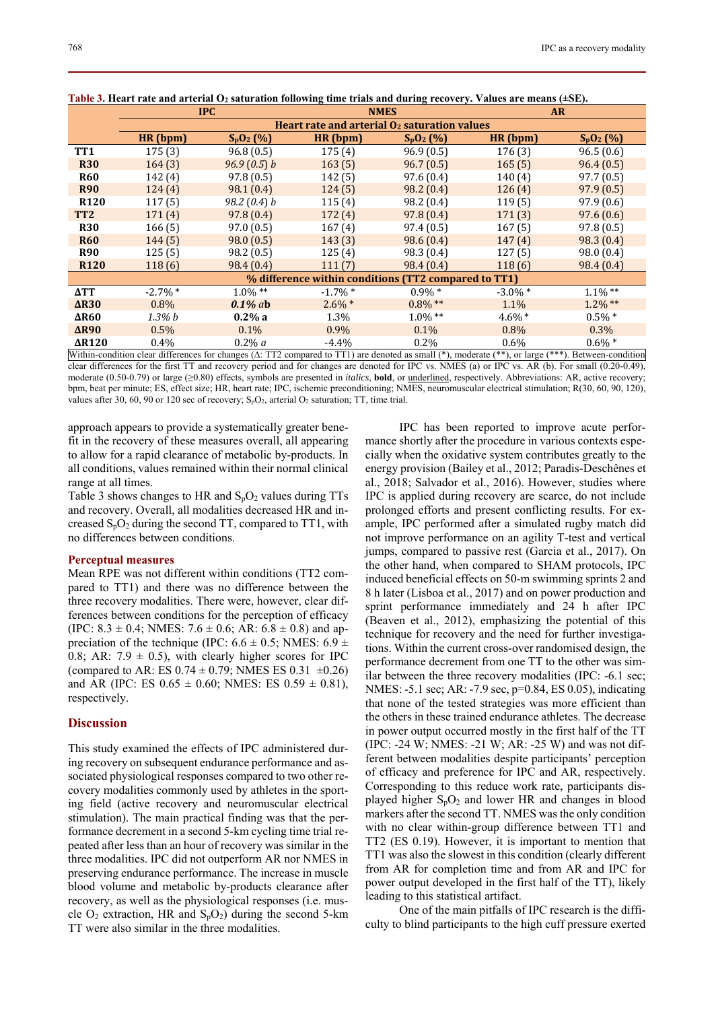|                                                                                                                                                             |                                                          | <b>IPC</b>     |            | <b>NMES</b> | <b>AR</b>  |             |  |  |
|-------------------------------------------------------------------------------------------------------------------------------------------------------------|----------------------------------------------------------|----------------|------------|-------------|------------|-------------|--|--|
|                                                                                                                                                             | Heart rate and arterial O <sub>2</sub> saturation values |                |            |             |            |             |  |  |
|                                                                                                                                                             | HR (bpm)                                                 | $S_pO_2(%)$    | HR (bpm)   | $S_pO_2(%)$ | HR (bpm)   | $S_pO_2(%)$ |  |  |
| TT1                                                                                                                                                         | 175(3)                                                   | 96.8(0.5)      | 175(4)     | 96.9(0.5)   | 176(3)     | 96.5(0.6)   |  |  |
| <b>R30</b>                                                                                                                                                  | 164(3)                                                   | 96.9(0.5) b    | 163(5)     | 96.7(0.5)   | 165(5)     | 96.4(0.5)   |  |  |
| <b>R60</b>                                                                                                                                                  | 142(4)                                                   | 97.8(0.5)      | 142(5)     | 97.6(0.4)   | 140(4)     | 97.7(0.5)   |  |  |
| <b>R90</b>                                                                                                                                                  | 124(4)                                                   | 98.1(0.4)      | 124(5)     | 98.2(0.4)   | 126(4)     | 97.9(0.5)   |  |  |
| <b>R120</b>                                                                                                                                                 | 117(5)                                                   | 98.2 $(0.4)$ b | 115(4)     | 98.2 (0.4)  | 119(5)     | 97.9(0.6)   |  |  |
| TT <sub>2</sub>                                                                                                                                             | 171(4)                                                   | 97.8(0.4)      | 172(4)     | 97.8(0.4)   | 171(3)     | 97.6(0.6)   |  |  |
| <b>R30</b>                                                                                                                                                  | 166(5)                                                   | 97.0(0.5)      | 167(4)     | 97.4(0.5)   | 167(5)     | 97.8(0.5)   |  |  |
| <b>R60</b>                                                                                                                                                  | 144(5)                                                   | 98.0(0.5)      | 143(3)     | 98.6(0.4)   | 147(4)     | 98.3 (0.4)  |  |  |
| <b>R90</b>                                                                                                                                                  | 125(5)                                                   | 98.2(0.5)      | 125(4)     | 98.3 (0.4)  | 127(5)     | 98.0 (0.4)  |  |  |
| <b>R120</b>                                                                                                                                                 | 118(6)                                                   | 98.4 (0.4)     | 111(7)     | 98.4(0.4)   | 118(6)     | 98.4 (0.4)  |  |  |
|                                                                                                                                                             | % difference within conditions (TT2 compared to TT1)     |                |            |             |            |             |  |  |
| $\Delta TT$                                                                                                                                                 | $-2.7\%$ *                                               | $1.0\%$ **     | $-1.7\%$ * | $0.9\% *$   | $-3.0\%$ * | $1.1\%$ **  |  |  |
| AR30                                                                                                                                                        | $0.8\%$                                                  | $0.1\%$ ab     | $2.6\%$ *  | $0.8\%$ **  | 1.1%       | $1.2\%$ **  |  |  |
| ΔR60                                                                                                                                                        | $1.3\% b$                                                | $0.2\%$ a      | 1.3%       | $1.0\%$ **  | $4.6\%$ *  | $0.5\% *$   |  |  |
| $\Delta$ R90                                                                                                                                                | 0.5%                                                     | $0.1\%$        | $0.9\%$    | 0.1%        | $0.8\%$    | $0.3\%$     |  |  |
| AR120                                                                                                                                                       | $0.4\%$                                                  | $0.2\% a$      | $-4.4\%$   | $0.2\%$     | $0.6\%$    | $0.6\% *$   |  |  |
| Within-condition clear differences for changes ( $\Delta$ : TT2 compared to TT1) are denoted as small (*), moderate (**), or large (***). Between-condition |                                                          |                |            |             |            |             |  |  |

Table 3. Heart rate and arterial O<sub>2</sub> saturation following time trials and during recovery. Values are means (±SE).

clear differences for the first TT and recovery period and for changes are denoted for IPC vs. NMES (a) or IPC vs. AR (b). For small (0.20-0.49), moderate (0.50-0.79) or large (≥0.80) effects, symbols are presented in *italics*, **bold**, or underlined, respectively. Abbreviations: AR, active recovery; bpm, beat per minute; ES, effect size; HR, heart rate; IPC, ischemic preconditioning; NMES, neuromuscular electrical stimulation; R(30, 60, 90, 120), values after 30, 60, 90 or 120 sec of recovery;  $S_pO_2$ , arterial  $O_2$  saturation; TT, time trial.

approach appears to provide a systematically greater benefit in the recovery of these measures overall, all appearing to allow for a rapid clearance of metabolic by-products. In all conditions, values remained within their normal clinical range at all times.

Table 3 shows changes to HR and  $S_pO_2$  values during TTs and recovery. Overall, all modalities decreased HR and increased  $S_pO_2$  during the second TT, compared to TT1, with no differences between conditions.

#### **Perceptual measures**

Mean RPE was not different within conditions (TT2 compared to TT1) and there was no difference between the three recovery modalities. There were, however, clear differences between conditions for the perception of efficacy (IPC:  $8.3 \pm 0.4$ ; NMES:  $7.6 \pm 0.6$ ; AR:  $6.8 \pm 0.8$ ) and appreciation of the technique (IPC:  $6.6 \pm 0.5$ ; NMES:  $6.9 \pm$ 0.8; AR:  $7.9 \pm 0.5$ ), with clearly higher scores for IPC (compared to AR: ES  $0.74 \pm 0.79$ ; NMES ES  $0.31 \pm 0.26$ ) and AR (IPC: ES  $0.65 \pm 0.60$ ; NMES: ES  $0.59 \pm 0.81$ ), respectively.

## **Discussion**

This study examined the effects of IPC administered during recovery on subsequent endurance performance and associated physiological responses compared to two other recovery modalities commonly used by athletes in the sporting field (active recovery and neuromuscular electrical stimulation). The main practical finding was that the performance decrement in a second 5-km cycling time trial repeated after less than an hour of recovery was similar in the three modalities. IPC did not outperform AR nor NMES in preserving endurance performance. The increase in muscle blood volume and metabolic by-products clearance after recovery, as well as the physiological responses (i.e. muscle  $O_2$  extraction, HR and  $S_pO_2$ ) during the second 5-km TT were also similar in the three modalities.

IPC has been reported to improve acute performance shortly after the procedure in various contexts especially when the oxidative system contributes greatly to the energy provision (Bailey et al., 2012; Paradis-Deschênes et al., 2018; Salvador et al., 2016). However, studies where IPC is applied during recovery are scarce, do not include prolonged efforts and present conflicting results. For example, IPC performed after a simulated rugby match did not improve performance on an agility T-test and vertical jumps, compared to passive rest (Garcia et al., 2017). On the other hand, when compared to SHAM protocols, IPC induced beneficial effects on 50-m swimming sprints 2 and 8 h later (Lisboa et al., 2017) and on power production and sprint performance immediately and 24 h after IPC (Beaven et al., 2012), emphasizing the potential of this technique for recovery and the need for further investigations. Within the current cross-over randomised design, the performance decrement from one TT to the other was similar between the three recovery modalities (IPC: -6.1 sec; NMES: -5.1 sec; AR: -7.9 sec, p=0.84, ES 0.05), indicating that none of the tested strategies was more efficient than the others in these trained endurance athletes. The decrease in power output occurred mostly in the first half of the TT (IPC: -24 W; NMES: -21 W; AR: -25 W) and was not different between modalities despite participants' perception of efficacy and preference for IPC and AR, respectively. Corresponding to this reduce work rate, participants displayed higher  $S_pO_2$  and lower HR and changes in blood markers after the second TT. NMES was the only condition with no clear within-group difference between TT1 and TT2 (ES 0.19). However, it is important to mention that TT1 was also the slowest in this condition (clearly different from AR for completion time and from AR and IPC for power output developed in the first half of the TT), likely leading to this statistical artifact.

One of the main pitfalls of IPC research is the difficulty to blind participants to the high cuff pressure exerted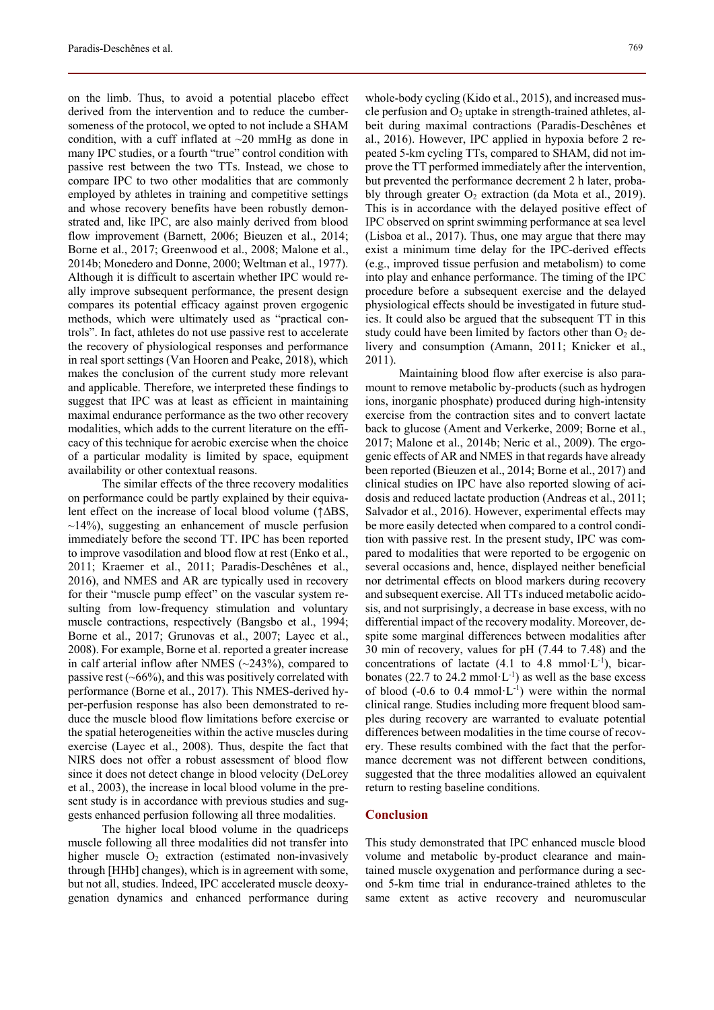on the limb. Thus, to avoid a potential placebo effect derived from the intervention and to reduce the cumbersomeness of the protocol, we opted to not include a SHAM condition, with a cuff inflated at  $\sim$ 20 mmHg as done in many IPC studies, or a fourth "true" control condition with passive rest between the two TTs. Instead, we chose to compare IPC to two other modalities that are commonly employed by athletes in training and competitive settings and whose recovery benefits have been robustly demonstrated and, like IPC, are also mainly derived from blood flow improvement (Barnett, 2006; Bieuzen et al., 2014; Borne et al., 2017; Greenwood et al., 2008; Malone et al., 2014b; Monedero and Donne, 2000; Weltman et al., 1977). Although it is difficult to ascertain whether IPC would really improve subsequent performance, the present design compares its potential efficacy against proven ergogenic methods, which were ultimately used as "practical controls". In fact, athletes do not use passive rest to accelerate the recovery of physiological responses and performance in real sport settings (Van Hooren and Peake, 2018), which makes the conclusion of the current study more relevant and applicable. Therefore, we interpreted these findings to suggest that IPC was at least as efficient in maintaining maximal endurance performance as the two other recovery modalities, which adds to the current literature on the efficacy of this technique for aerobic exercise when the choice of a particular modality is limited by space, equipment availability or other contextual reasons.

The similar effects of the three recovery modalities on performance could be partly explained by their equivalent effect on the increase of local blood volume (↑∆BS,  $\sim$ 14%), suggesting an enhancement of muscle perfusion immediately before the second TT. IPC has been reported to improve vasodilation and blood flow at rest (Enko et al., 2011; Kraemer et al., 2011; Paradis-Deschênes et al., 2016), and NMES and AR are typically used in recovery for their "muscle pump effect" on the vascular system resulting from low-frequency stimulation and voluntary muscle contractions, respectively (Bangsbo et al., 1994; Borne et al., 2017; Grunovas et al., 2007; Layec et al., 2008). For example, Borne et al. reported a greater increase in calf arterial inflow after NMES (~243%), compared to passive rest  $(-66%)$ , and this was positively correlated with performance (Borne et al., 2017). This NMES-derived hyper-perfusion response has also been demonstrated to reduce the muscle blood flow limitations before exercise or the spatial heterogeneities within the active muscles during exercise (Layec et al., 2008). Thus, despite the fact that NIRS does not offer a robust assessment of blood flow since it does not detect change in blood velocity (DeLorey et al., 2003), the increase in local blood volume in the present study is in accordance with previous studies and suggests enhanced perfusion following all three modalities.

The higher local blood volume in the quadriceps muscle following all three modalities did not transfer into higher muscle  $O_2$  extraction (estimated non-invasively through [HHb] changes), which is in agreement with some, but not all, studies. Indeed, IPC accelerated muscle deoxygenation dynamics and enhanced performance during whole-body cycling (Kido et al., 2015), and increased muscle perfusion and  $O_2$  uptake in strength-trained athletes, albeit during maximal contractions (Paradis-Deschênes et al., 2016). However, IPC applied in hypoxia before 2 repeated 5-km cycling TTs, compared to SHAM, did not improve the TT performed immediately after the intervention, but prevented the performance decrement 2 h later, probably through greater  $O_2$  extraction (da Mota et al., 2019). This is in accordance with the delayed positive effect of IPC observed on sprint swimming performance at sea level (Lisboa et al., 2017). Thus, one may argue that there may exist a minimum time delay for the IPC-derived effects (e.g., improved tissue perfusion and metabolism) to come into play and enhance performance. The timing of the IPC procedure before a subsequent exercise and the delayed physiological effects should be investigated in future studies. It could also be argued that the subsequent TT in this study could have been limited by factors other than  $O_2$  delivery and consumption (Amann, 2011; Knicker et al., 2011).

Maintaining blood flow after exercise is also paramount to remove metabolic by-products (such as hydrogen ions, inorganic phosphate) produced during high-intensity exercise from the contraction sites and to convert lactate back to glucose (Ament and Verkerke, 2009; Borne et al., 2017; Malone et al., 2014b; Neric et al., 2009). The ergogenic effects of AR and NMES in that regards have already been reported (Bieuzen et al., 2014; Borne et al., 2017) and clinical studies on IPC have also reported slowing of acidosis and reduced lactate production (Andreas et al., 2011; Salvador et al., 2016). However, experimental effects may be more easily detected when compared to a control condition with passive rest. In the present study, IPC was compared to modalities that were reported to be ergogenic on several occasions and, hence, displayed neither beneficial nor detrimental effects on blood markers during recovery and subsequent exercise. All TTs induced metabolic acidosis, and not surprisingly, a decrease in base excess, with no differential impact of the recovery modality. Moreover, despite some marginal differences between modalities after 30 min of recovery, values for pH (7.44 to 7.48) and the concentrations of lactate  $(4.1 \text{ to } 4.8 \text{ mmol·L}^{-1})$ , bicarbonates (22.7 to 24.2 mmol $\cdot$ L $^{-1}$ ) as well as the base excess of blood (-0.6 to 0.4 mmol $\cdot$ L $\cdot$ <sup>1</sup>) were within the normal clinical range. Studies including more frequent blood samples during recovery are warranted to evaluate potential differences between modalities in the time course of recovery. These results combined with the fact that the performance decrement was not different between conditions, suggested that the three modalities allowed an equivalent return to resting baseline conditions.

## **Conclusion**

This study demonstrated that IPC enhanced muscle blood volume and metabolic by-product clearance and maintained muscle oxygenation and performance during a second 5-km time trial in endurance-trained athletes to the same extent as active recovery and neuromuscular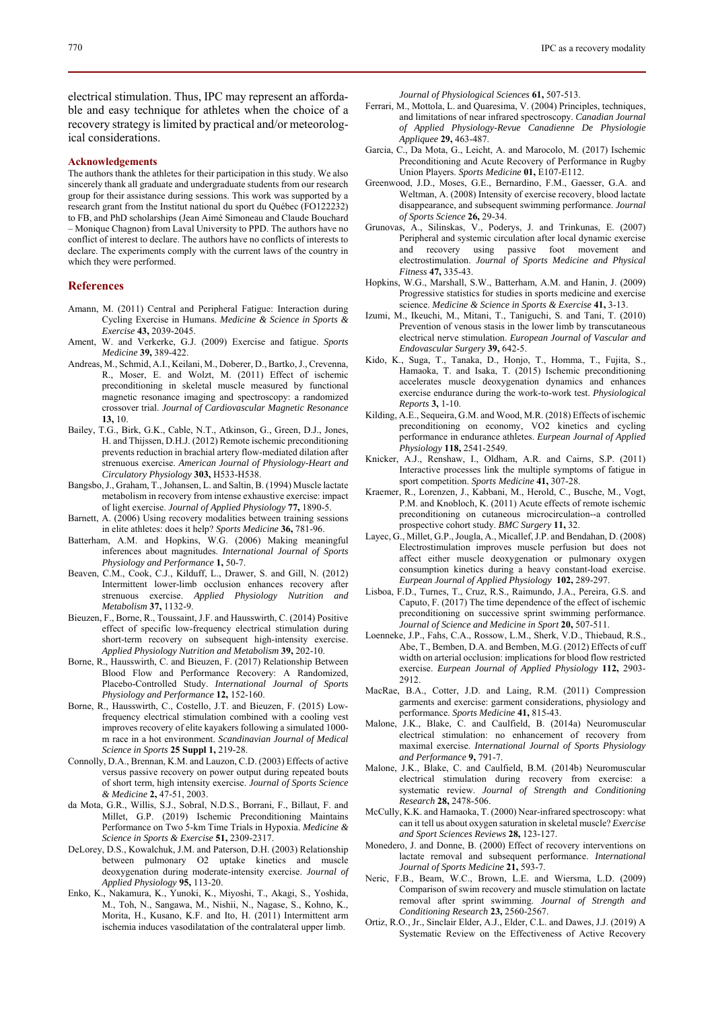electrical stimulation. Thus, IPC may represent an affordable and easy technique for athletes when the choice of a recovery strategy is limited by practical and/or meteorological considerations.

#### **Acknowledgements**

The authors thank the athletes for their participation in this study. We also sincerely thank all graduate and undergraduate students from our research group for their assistance during sessions. This work was supported by a research grant from the Institut national du sport du Québec (FO122232) to FB, and PhD scholarships (Jean Aimé Simoneau and Claude Bouchard – Monique Chagnon) from Laval University to PPD. The authors have no conflict of interest to declare. The authors have no conflicts of interests to declare. The experiments comply with the current laws of the country in which they were performed.

#### **References**

- Amann, M. (2011) Central and Peripheral Fatigue: Interaction during Cycling Exercise in Humans. *Medicine & Science in Sports & Exercise* **43,** 2039-2045.
- Ament, W. and Verkerke, G.J. (2009) Exercise and fatigue. *Sports Medicine* **39,** 389-422.
- Andreas, M., Schmid, A.I., Keilani, M., Doberer, D., Bartko, J., Crevenna, R., Moser, E. and Wolzt, M. (2011) Effect of ischemic preconditioning in skeletal muscle measured by functional magnetic resonance imaging and spectroscopy: a randomized crossover trial. *Journal of Cardiovascular Magnetic Resonance* **13,** 10.
- Bailey, T.G., Birk, G.K., Cable, N.T., Atkinson, G., Green, D.J., Jones, H. and Thijssen, D.H.J. (2012) Remote ischemic preconditioning prevents reduction in brachial artery flow-mediated dilation after strenuous exercise. *American Journal of Physiology-Heart and Circulatory Physiology* **303,** H533-H538.
- Bangsbo, J., Graham, T., Johansen, L. and Saltin, B. (1994) Muscle lactate metabolism in recovery from intense exhaustive exercise: impact of light exercise. *Journal of Applied Physiology* **77,** 1890-5.
- Barnett, A. (2006) Using recovery modalities between training sessions in elite athletes: does it help? *Sports Medicine* **36,** 781-96.
- Batterham, A.M. and Hopkins, W.G. (2006) Making meaningful inferences about magnitudes. *International Journal of Sports Physiology and Performance* **1,** 50-7.
- Beaven, C.M., Cook, C.J., Kilduff, L., Drawer, S. and Gill, N. (2012) Intermittent lower-limb occlusion enhances recovery after strenuous exercise. *Applied Physiology Nutrition and Metabolism* **37,** 1132-9.
- Bieuzen, F., Borne, R., Toussaint, J.F. and Hausswirth, C. (2014) Positive effect of specific low-frequency electrical stimulation during short-term recovery on subsequent high-intensity exercise. *Applied Physiology Nutrition and Metabolism* **39,** 202-10.
- Borne, R., Hausswirth, C. and Bieuzen, F. (2017) Relationship Between Blood Flow and Performance Recovery: A Randomized, Placebo-Controlled Study. *International Journal of Sports Physiology and Performance* **12,** 152-160.
- Borne, R., Hausswirth, C., Costello, J.T. and Bieuzen, F. (2015) Lowfrequency electrical stimulation combined with a cooling vest improves recovery of elite kayakers following a simulated 1000 m race in a hot environment. *Scandinavian Journal of Medical Science in Sports* **25 Suppl 1,** 219-28.
- Connolly, D.A., Brennan, K.M. and Lauzon, C.D. (2003) Effects of active versus passive recovery on power output during repeated bouts of short term, high intensity exercise. *Journal of Sports Science & Medicine* **2,** 47-51, 2003.
- da Mota, G.R., Willis, S.J., Sobral, N.D.S., Borrani, F., Billaut, F. and Millet, G.P. (2019) Ischemic Preconditioning Maintains Performance on Two 5-km Time Trials in Hypoxia. *Medicine & Science in Sports & Exercise* **51,** 2309-2317.
- DeLorey, D.S., Kowalchuk, J.M. and Paterson, D.H. (2003) Relationship between pulmonary O2 uptake kinetics and muscle deoxygenation during moderate-intensity exercise. *Journal of Applied Physiology* **95,** 113-20.
- Enko, K., Nakamura, K., Yunoki, K., Miyoshi, T., Akagi, S., Yoshida, M., Toh, N., Sangawa, M., Nishii, N., Nagase, S., Kohno, K., Morita, H., Kusano, K.F. and Ito, H. (2011) Intermittent arm ischemia induces vasodilatation of the contralateral upper limb.

*Journal of Physiological Sciences* **61,** 507-513.

- Ferrari, M., Mottola, L. and Quaresima, V. (2004) Principles, techniques, and limitations of near infrared spectroscopy. *Canadian Journal of Applied Physiology-Revue Canadienne De Physiologie Appliquee* **29,** 463-487.
- Garcia, C., Da Mota, G., Leicht, A. and Marocolo, M. (2017) Ischemic Preconditioning and Acute Recovery of Performance in Rugby Union Players. *Sports Medicine* **01,** E107-E112.
- Greenwood, J.D., Moses, G.E., Bernardino, F.M., Gaesser, G.A. and Weltman, A. (2008) Intensity of exercise recovery, blood lactate disappearance, and subsequent swimming performance. *Journal of Sports Science* **26,** 29-34.
- Grunovas, A., Silinskas, V., Poderys, J. and Trinkunas, E. (2007) Peripheral and systemic circulation after local dynamic exercise and recovery using passive foot movement and electrostimulation. *Journal of Sports Medicine and Physical Fitness* **47,** 335-43.
- Hopkins, W.G., Marshall, S.W., Batterham, A.M. and Hanin, J. (2009) Progressive statistics for studies in sports medicine and exercise science. *Medicine & Science in Sports & Exercise* **41,** 3-13.
- Izumi, M., Ikeuchi, M., Mitani, T., Taniguchi, S. and Tani, T. (2010) Prevention of venous stasis in the lower limb by transcutaneous electrical nerve stimulation. *European Journal of Vascular and Endovascular Surgery* **39,** 642-5.
- Kido, K., Suga, T., Tanaka, D., Honjo, T., Homma, T., Fujita, S., Hamaoka, T. and Isaka, T. (2015) Ischemic preconditioning accelerates muscle deoxygenation dynamics and enhances exercise endurance during the work-to-work test. *Physiological Reports* **3,** 1-10.
- Kilding, A.E., Sequeira, G.M. and Wood, M.R. (2018) Effects of ischemic preconditioning on economy, VO2 kinetics and cycling performance in endurance athletes. *Eurpean Journal of Applied Physiology* **118,** 2541-2549.
- Knicker, A.J., Renshaw, I., Oldham, A.R. and Cairns, S.P. (2011) Interactive processes link the multiple symptoms of fatigue in sport competition. *Sports Medicine* **41,** 307-28.
- Kraemer, R., Lorenzen, J., Kabbani, M., Herold, C., Busche, M., Vogt, P.M. and Knobloch, K. (2011) Acute effects of remote ischemic preconditioning on cutaneous microcirculation--a controlled prospective cohort study. *BMC Surgery* **11,** 32.
- Layec, G., Millet, G.P., Jougla, A., Micallef, J.P. and Bendahan, D. (2008) Electrostimulation improves muscle perfusion but does not affect either muscle deoxygenation or pulmonary oxygen consumption kinetics during a heavy constant-load exercise. *Eurpean Journal of Applied Physiology* **102,** 289-297.
- Lisboa, F.D., Turnes, T., Cruz, R.S., Raimundo, J.A., Pereira, G.S. and Caputo, F. (2017) The time dependence of the effect of ischemic preconditioning on successive sprint swimming performance. *Journal of Science and Medicine in Sport* **20,** 507-511.
- Loenneke, J.P., Fahs, C.A., Rossow, L.M., Sherk, V.D., Thiebaud, R.S., Abe, T., Bemben, D.A. and Bemben, M.G. (2012) Effects of cuff width on arterial occlusion: implications for blood flow restricted exercise. *Eurpean Journal of Applied Physiology* **112,** 2903- 2912.
- MacRae, B.A., Cotter, J.D. and Laing, R.M. (2011) Compression garments and exercise: garment considerations, physiology and performance. *Sports Medicine* **41,** 815-43.
- Malone, J.K., Blake, C. and Caulfield, B. (2014a) Neuromuscular electrical stimulation: no enhancement of recovery from maximal exercise. *International Journal of Sports Physiology and Performance* **9,** 791-7.
- Malone, J.K., Blake, C. and Caulfield, B.M. (2014b) Neuromuscular electrical stimulation during recovery from exercise: a systematic review. *Journal of Strength and Conditioning Research* **28,** 2478-506.
- McCully, K.K. and Hamaoka, T. (2000) Near-infrared spectroscopy: what can it tell us about oxygen saturation in skeletal muscle? *Exercise and Sport Sciences Reviews* **28,** 123-127.
- Monedero, J. and Donne, B. (2000) Effect of recovery interventions on lactate removal and subsequent performance. *International Journal of Sports Medicine* **21,** 593-7.
- Neric, F.B., Beam, W.C., Brown, L.E. and Wiersma, L.D. (2009) Comparison of swim recovery and muscle stimulation on lactate removal after sprint swimming. *Journal of Strength and Conditioning Research* **23,** 2560-2567.
- Ortiz, R.O., Jr., Sinclair Elder, A.J., Elder, C.L. and Dawes, J.J. (2019) A Systematic Review on the Effectiveness of Active Recovery